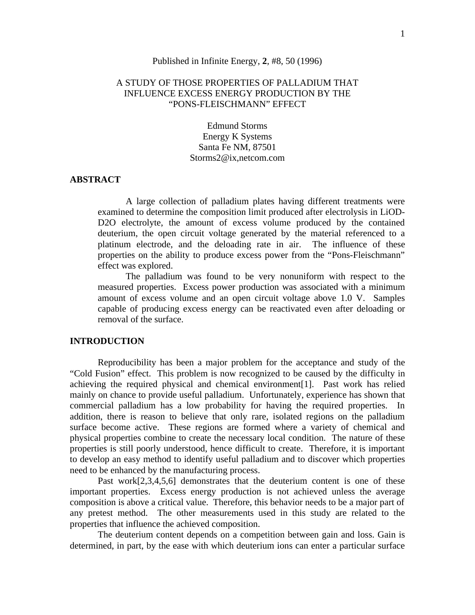#### Published in Infinite Energy, **2**, #8, 50 (1996)

## A STUDY OF THOSE PROPERTIES OF PALLADIUM THAT INFLUENCE EXCESS ENERGY PRODUCTION BY THE "PONS-FLEISCHMANN" EFFECT

Edmund Storms Energy K Systems Santa Fe NM, 87501 Storms2@ix,netcom.com

## **ABSTRACT**

A large collection of palladium plates having different treatments were examined to determine the composition limit produced after electrolysis in LiOD-D2O electrolyte, the amount of excess volume produced by the contained deuterium, the open circuit voltage generated by the material referenced to a platinum electrode, and the deloading rate in air. The influence of these properties on the ability to produce excess power from the "Pons-Fleischmann" effect was explored.

The palladium was found to be very nonuniform with respect to the measured properties. Excess power production was associated with a minimum amount of excess volume and an open circuit voltage above 1.0 V. Samples capable of producing excess energy can be reactivated even after deloading or removal of the surface.

### **INTRODUCTION**

Reproducibility has been a major problem for the acceptance and study of the "Cold Fusion" effect. This problem is now recognized to be caused by the difficulty in achieving the required physical and chemical environment[1]. Past work has relied mainly on chance to provide useful palladium. Unfortunately, experience has shown that commercial palladium has a low probability for having the required properties. In addition, there is reason to believe that only rare, isolated regions on the palladium surface become active. These regions are formed where a variety of chemical and physical properties combine to create the necessary local condition. The nature of these properties is still poorly understood, hence difficult to create. Therefore, it is important to develop an easy method to identify useful palladium and to discover which properties need to be enhanced by the manufacturing process.

Past work[2,3,4,5,6] demonstrates that the deuterium content is one of these important properties. Excess energy production is not achieved unless the average composition is above a critical value. Therefore, this behavior needs to be a major part of any pretest method. The other measurements used in this study are related to the properties that influence the achieved composition.

The deuterium content depends on a competition between gain and loss. Gain is determined, in part, by the ease with which deuterium ions can enter a particular surface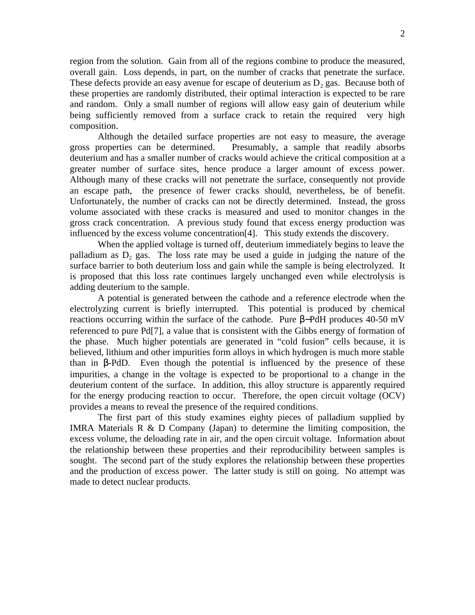region from the solution. Gain from all of the regions combine to produce the measured, overall gain. Loss depends, in part, on the number of cracks that penetrate the surface. These defects provide an easy avenue for escape of deuterium as  $D_2$  gas. Because both of these properties are randomly distributed, their optimal interaction is expected to be rare and random. Only a small number of regions will allow easy gain of deuterium while being sufficiently removed from a surface crack to retain the required very high composition.

Although the detailed surface properties are not easy to measure, the average gross properties can be determined. Presumably, a sample that readily absorbs deuterium and has a smaller number of cracks would achieve the critical composition at a greater number of surface sites, hence produce a larger amount of excess power. Although many of these cracks will not penetrate the surface, consequently not provide an escape path, the presence of fewer cracks should, nevertheless, be of benefit. Unfortunately, the number of cracks can not be directly determined. Instead, the gross volume associated with these cracks is measured and used to monitor changes in the gross crack concentration. A previous study found that excess energy production was influenced by the excess volume concentration[4]. This study extends the discovery.

When the applied voltage is turned off, deuterium immediately begins to leave the palladium as  $D_2$  gas. The loss rate may be used a guide in judging the nature of the surface barrier to both deuterium loss and gain while the sample is being electrolyzed. It is proposed that this loss rate continues largely unchanged even while electrolysis is adding deuterium to the sample.

A potential is generated between the cathode and a reference electrode when the electrolyzing current is briefly interrupted. This potential is produced by chemical reactions occurring within the surface of the cathode. Pure –PdH produces 40-50 mV referenced to pure Pd[7], a value that is consistent with the Gibbs energy of formation of the phase. Much higher potentials are generated in "cold fusion" cells because, it is believed, lithium and other impurities form alloys in which hydrogen is much more stable than in -PdD. Even though the potential is influenced by the presence of these impurities, a change in the voltage is expected to be proportional to a change in the deuterium content of the surface. In addition, this alloy structure is apparently required for the energy producing reaction to occur. Therefore, the open circuit voltage (OCV) provides a means to reveal the presence of the required conditions.

The first part of this study examines eighty pieces of palladium supplied by IMRA Materials R & D Company (Japan) to determine the limiting composition, the excess volume, the deloading rate in air, and the open circuit voltage. Information about the relationship between these properties and their reproducibility between samples is sought. The second part of the study explores the relationship between these properties and the production of excess power. The latter study is still on going. No attempt was made to detect nuclear products.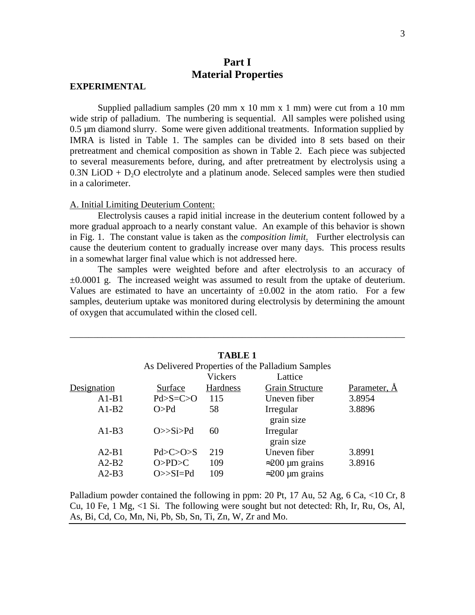# **Part I Material Properties**

#### **EXPERIMENTAL**

Supplied palladium samples  $(20 \text{ mm} \times 10 \text{ mm} \times 1 \text{ mm})$  were cut from a 10 mm wide strip of palladium. The numbering is sequential. All samples were polished using 0.5 µm diamond slurry. Some were given additional treatments. Information supplied by IMRA is listed in Table 1. The samples can be divided into 8 sets based on their pretreatment and chemical composition as shown in Table 2. Each piece was subjected to several measurements before, during, and after pretreatment by electrolysis using a  $0.3N$  LiOD + D<sub>2</sub>O electrolyte and a platinum anode. Seleced samples were then studied in a calorimeter.

#### A. Initial Limiting Deuterium Content:

Electrolysis causes a rapid initial increase in the deuterium content followed by a more gradual approach to a nearly constant value. An example of this behavior is shown in Fig. 1. The constant value is taken as the *composition limit*. Further electrolysis can cause the deuterium content to gradually increase over many days. This process results in a somewhat larger final value which is not addressed here.

The samples were weighted before and after electrolysis to an accuracy of  $\pm 0.0001$  g. The increased weight was assumed to result from the uptake of deuterium. Values are estimated to have an uncertainty of  $\pm 0.002$  in the atom ratio. For a few samples, deuterium uptake was monitored during electrolysis by determining the amount of oxygen that accumulated within the closed cell.

\_\_\_\_\_\_\_\_\_\_\_\_\_\_\_\_\_\_\_\_\_\_\_\_\_\_\_\_\_\_\_\_\_\_\_\_\_\_\_\_\_\_\_\_\_\_\_\_\_\_\_\_\_\_\_\_\_\_\_\_\_\_\_\_\_\_\_\_\_\_\_\_

|             |                  | <b>TABLE 1</b>  | As Delivered Properties of the Palladium Samples |              |
|-------------|------------------|-----------------|--------------------------------------------------|--------------|
|             |                  | <b>Vickers</b>  | Lattice                                          |              |
| Designation | Surface          | <b>Hardness</b> | <b>Grain Structure</b>                           | Parameter, A |
| $A1-B1$     | $Pd > S = C > O$ | 115             | Uneven fiber                                     | 3.8954       |
| $A1-B2$     | O > Pd           | 58              | Irregular<br>grain size                          | 3.8896       |
| $A1-B3$     | $O\gg Si$        | 60              | Irregular<br>grain size                          |              |
| $A2-B1$     | Pd > C > 0 > S   | 219             | Uneven fiber                                     | 3.8991       |
| $A2-B2$     | O>PD>C           | 109             | $200 \mu m$ grains                               | 3.8916       |
| $A2-B3$     | $O \gg SI = Pd$  | 109             | $200 \mu m$ grains                               |              |

Palladium powder contained the following in ppm: 20 Pt, 17 Au, 52 Ag, 6 Ca, <10 Cr, 8 Cu, 10 Fe, 1 Mg, <1 Si. The following were sought but not detected: Rh, Ir, Ru, Os, Al, As, Bi, Cd, Co, Mn, Ni, Pb, Sb, Sn, Ti, Zn, W, Zr and Mo.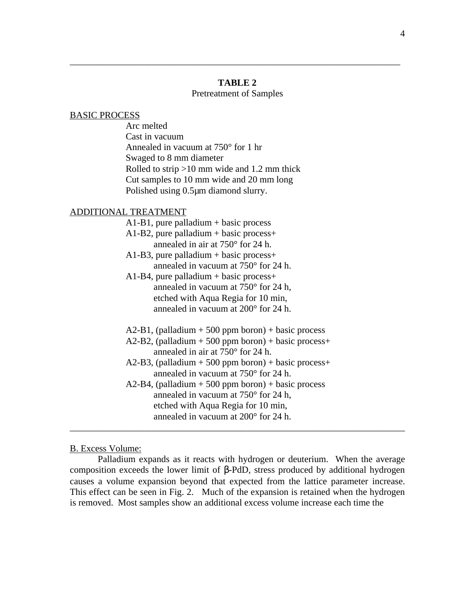### **TABLE 2**

\_\_\_\_\_\_\_\_\_\_\_\_\_\_\_\_\_\_\_\_\_\_\_\_\_\_\_\_\_\_\_\_\_\_\_\_\_\_\_\_\_\_\_\_\_\_\_\_\_\_\_\_\_\_\_\_\_\_\_\_\_\_\_\_\_\_\_\_\_\_\_

### Pretreatment of Samples

#### BASIC PROCESS

Arc melted Cast in vacuum Annealed in vacuum at 750° for 1 hr Swaged to 8 mm diameter Rolled to strip >10 mm wide and 1.2 mm thick Cut samples to 10 mm wide and 20 mm long Polished using 0.5µm diamond slurry.

#### ADDITIONAL TREATMENT

| $A1-B1$ , pure palladium + basic process               |
|--------------------------------------------------------|
| $A1-B2$ , pure palladium + basic process+              |
| annealed in air at $750^{\circ}$ for 24 h.             |
| $A1-B3$ , pure palladium + basic process+              |
| annealed in vacuum at $750^{\circ}$ for 24 h.          |
| $A1-B4$ , pure palladium + basic process+              |
| annealed in vacuum at $750^{\circ}$ for 24 h,          |
| etched with Aqua Regia for 10 min,                     |
| annealed in vacuum at 200° for 24 h.                   |
|                                                        |
| $A2-B1$ , (palladium + 500 ppm boron) + basic process  |
| $A2-B2$ , (palladium + 500 ppm boron) + basic process+ |
| annealed in air at $750^{\circ}$ for 24 h.             |
| $A2-B3$ , (palladium + 500 ppm boron) + basic process+ |
| annealed in vacuum at $750^{\circ}$ for 24 h.          |
| $A2-B4$ , (palladium + 500 ppm boron) + basic process  |
| annealed in vacuum at 750° for 24 h,                   |
| etched with Aqua Regia for 10 min,                     |
| annealed in vacuum at 200° for 24 h.                   |

### B. Excess Volume:

Palladium expands as it reacts with hydrogen or deuterium. When the average composition exceeds the lower limit of -PdD, stress produced by additional hydrogen causes a volume expansion beyond that expected from the lattice parameter increase. This effect can be seen in Fig. 2. Much of the expansion is retained when the hydrogen is removed. Most samples show an additional excess volume increase each time the

\_\_\_\_\_\_\_\_\_\_\_\_\_\_\_\_\_\_\_\_\_\_\_\_\_\_\_\_\_\_\_\_\_\_\_\_\_\_\_\_\_\_\_\_\_\_\_\_\_\_\_\_\_\_\_\_\_\_\_\_\_\_\_\_\_\_\_\_\_\_\_\_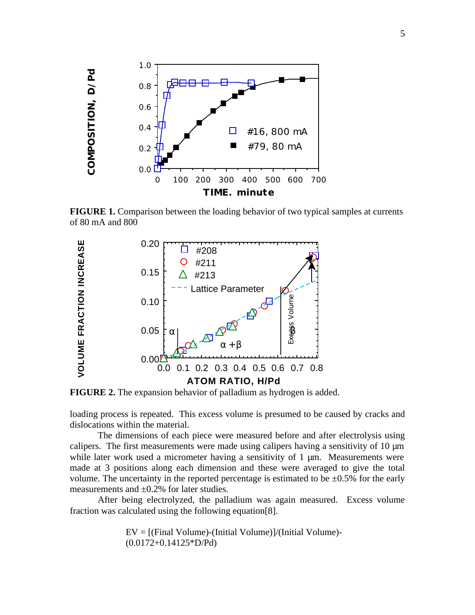

**FIGURE 1.** Comparison between the loading behavior of two typical samples at currents of 80 mA and 800



**FIGURE 2.** The expansion behavior of palladium as hydrogen is added.

loading process is repeated. This excess volume is presumed to be caused by cracks and dislocations within the material.

The dimensions of each piece were measured before and after electrolysis using calipers. The first measurements were made using calipers having a sensitivity of 10  $\mu$ m while later work used a micrometer having a sensitivity of 1  $\mu$ m. Measurements were made at 3 positions along each dimension and these were averaged to give the total volume. The uncertainty in the reported percentage is estimated to be  $\pm 0.5\%$  for the early measurements and  $\pm 0.2\%$  for later studies.

After being electrolyzed, the palladium was again measured. Excess volume fraction was calculated using the following equation[8].

> EV = [(Final Volume)-(Initial Volume)]/(Initial Volume)- (0.0172+0.14125\*D/Pd)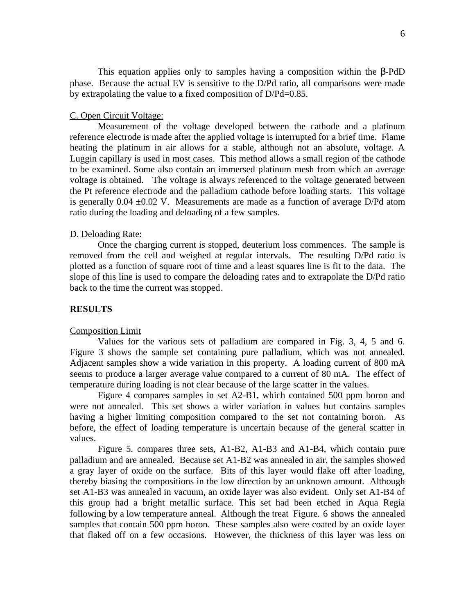This equation applies only to samples having a composition within the -PdD phase. Because the actual EV is sensitive to the D/Pd ratio, all comparisons were made by extrapolating the value to a fixed composition of D/Pd=0.85.

#### C. Open Circuit Voltage:

Measurement of the voltage developed between the cathode and a platinum reference electrode is made after the applied voltage is interrupted for a brief time. Flame heating the platinum in air allows for a stable, although not an absolute, voltage. A Luggin capillary is used in most cases. This method allows a small region of the cathode to be examined. Some also contain an immersed platinum mesh from which an average voltage is obtained. The voltage is always referenced to the voltage generated between the Pt reference electrode and the palladium cathode before loading starts. This voltage is generally  $0.04 \pm 0.02$  V. Measurements are made as a function of average D/Pd atom ratio during the loading and deloading of a few samples.

#### D. Deloading Rate:

Once the charging current is stopped, deuterium loss commences. The sample is removed from the cell and weighed at regular intervals. The resulting D/Pd ratio is plotted as a function of square root of time and a least squares line is fit to the data. The slope of this line is used to compare the deloading rates and to extrapolate the D/Pd ratio back to the time the current was stopped.

### **RESULTS**

#### Composition Limit

Values for the various sets of palladium are compared in Fig. 3, 4, 5 and 6. Figure 3 shows the sample set containing pure palladium, which was not annealed. Adjacent samples show a wide variation in this property. A loading current of 800 mA seems to produce a larger average value compared to a current of 80 mA. The effect of temperature during loading is not clear because of the large scatter in the values.

Figure 4 compares samples in set A2-B1, which contained 500 ppm boron and were not annealed. This set shows a wider variation in values but contains samples having a higher limiting composition compared to the set not containing boron. As before, the effect of loading temperature is uncertain because of the general scatter in values.

Figure 5. compares three sets, A1-B2, A1-B3 and A1-B4, which contain pure palladium and are annealed. Because set A1-B2 was annealed in air, the samples showed a gray layer of oxide on the surface. Bits of this layer would flake off after loading, thereby biasing the compositions in the low direction by an unknown amount. Although set A1-B3 was annealed in vacuum, an oxide layer was also evident. Only set A1-B4 of this group had a bright metallic surface. This set had been etched in Aqua Regia following by a low temperature anneal. Although the treat Figure. 6 shows the annealed samples that contain 500 ppm boron. These samples also were coated by an oxide layer that flaked off on a few occasions. However, the thickness of this layer was less on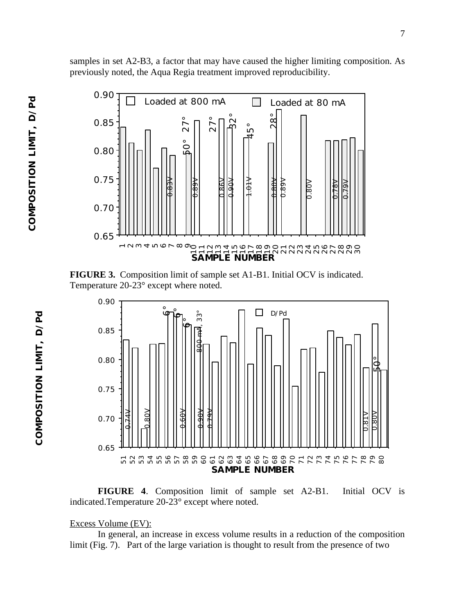**COMPOSITION LIMIT, D/Pd**

COMPOSITION LIMIT, D/Pd



samples in set A2-B3, a factor that may have caused the higher limiting composition. As

previously noted, the Aqua Regia treatment improved reproducibility.

**FIGURE 3.** Composition limit of sample set A1-B1. Initial OCV is indicated. Temperature 20-23° except where noted.



**FIGURE 4**. Composition limit of sample set A2-B1. Initial OCV is indicated.Temperature 20-23° except where noted.

### Excess Volume (EV):

In general, an increase in excess volume results in a reduction of the composition limit (Fig. 7). Part of the large variation is thought to result from the presence of two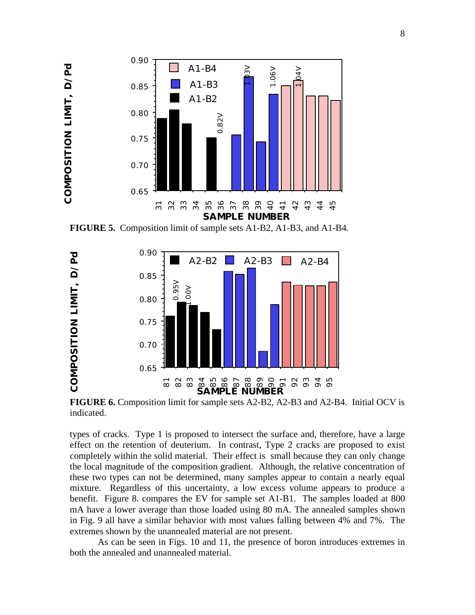

**COMPOSITION LIMIT, D/Pd** 

**FIGURE 5.** Composition limit of sample sets A1-B2, A1-B3, and A1-B4.



**FIGURE 6.** Composition limit for sample sets A2-B2, A2-B3 and A2-B4. Initial OCV is indicated.

types of cracks. Type 1 is proposed to intersect the surface and, therefore, have a large effect on the retention of deuterium. In contrast, Type 2 cracks are proposed to exist completely within the solid material. Their effect is small because they can only change the local magnitude of the composition gradient. Although, the relative concentration of these two types can not be determined, many samples appear to contain a nearly equal mixture. Regardless of this uncertainty, a low excess volume appears to produce a benefit. Figure 8. compares the EV for sample set A1-B1. The samples loaded at 800 mA have a lower average than those loaded using 80 mA. The annealed samples shown in Fig. 9 all have a similar behavior with most values falling between 4% and 7%. The extremes shown by the unannealed material are not present.

As can be seen in Figs. 10 and 11, the presence of boron introduces extremes in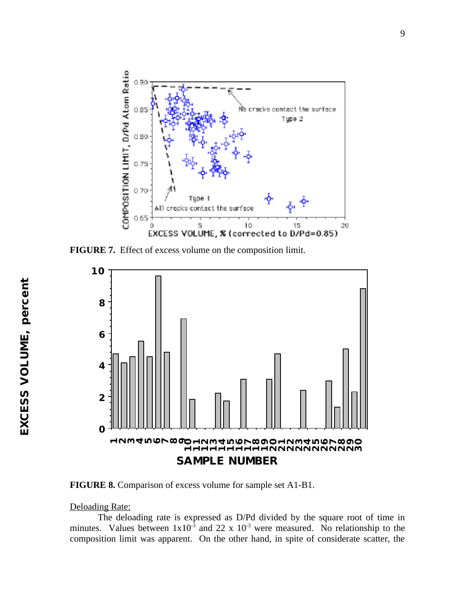

**FIGURE 7.** Effect of excess volume on the composition limit.



**FIGURE 8.** Comparison of excess volume for sample set A1-B1.

#### Deloading Rate:

The deloading rate is expressed as D/Pd divided by the square root of time in minutes. Values between  $1x10^{-3}$  and 22 x  $10^{-3}$  were measured. No relationship to the composition limit was apparent. On the other hand, in spite of considerate scatter, the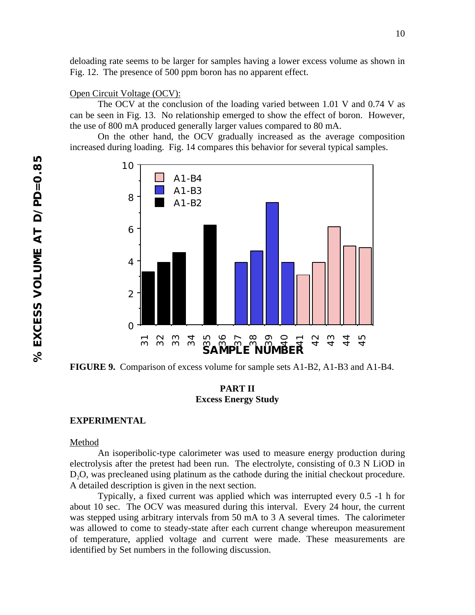deloading rate seems to be larger for samples having a lower excess volume as shown in Fig. 12. The presence of 500 ppm boron has no apparent effect.

#### Open Circuit Voltage (OCV):

The OCV at the conclusion of the loading varied between 1.01 V and 0.74 V as can be seen in Fig. 13. No relationship emerged to show the effect of boron. However, the use of 800 mA produced generally larger values compared to 80 mA.

On the other hand, the OCV gradually increased as the average composition increased during loading. Fig. 14 compares this behavior for several typical samples.



**FIGURE 9.** Comparison of excess volume for sample sets A1-B2, A1-B3 and A1-B4.

## **PART II Excess Energy Study**

#### **EXPERIMENTAL**

#### Method

An isoperibolic-type calorimeter was used to measure energy production during electrolysis after the pretest had been run. The electrolyte, consisting of 0.3 N LiOD in D<sub>2</sub>O, was precleaned using platinum as the cathode during the initial checkout procedure. A detailed description is given in the next section.

Typically, a fixed current was applied which was interrupted every 0.5 -1 h for about 10 sec. The OCV was measured during this interval. Every 24 hour, the current was stepped using arbitrary intervals from 50 mA to 3 A several times. The calorimeter was allowed to come to steady-state after each current change whereupon measurement of temperature, applied voltage and current were made. These measurements are **FIGURE 9.** Comparison of excess volume for sample<br>**FIGURE 9.** Comparison of excess volume for sample<br>**PART II**<br>**EXPERIMENTAL**<br>**Method**<br>An isoperibolic-type calorimeter was used to<br>electrolysis after the pretest had been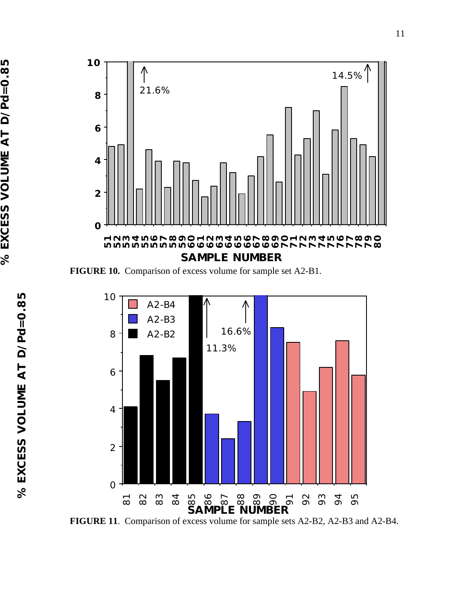

**FIGURE 10.** Comparison of excess volume for sample set A2-B1.

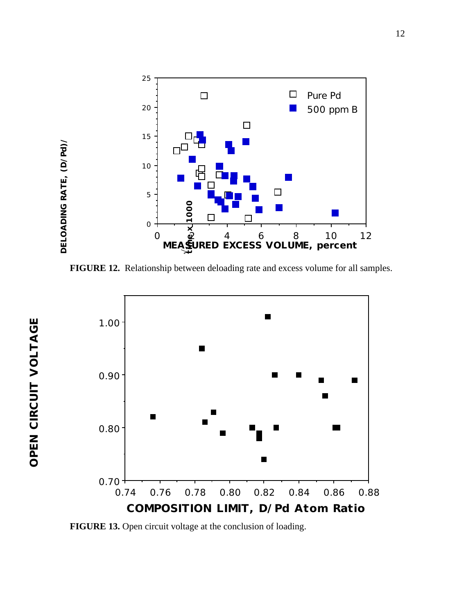

**FIGURE 12.** Relationship between deloading rate and excess volume for all samples.



**FIGURE 13.** Open circuit voltage at the conclusion of loading.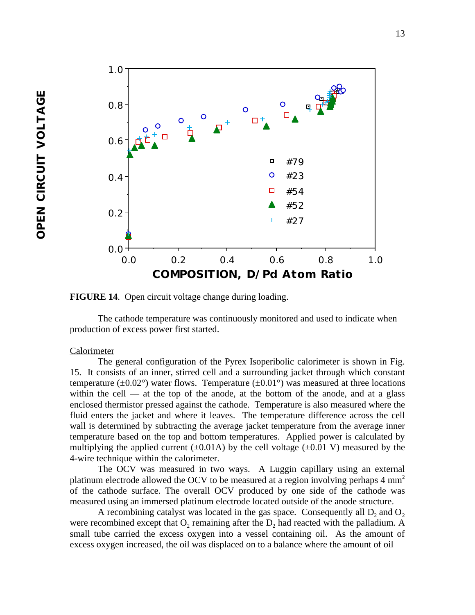

**FIGURE 14**. Open circuit voltage change during loading.

The cathode temperature was continuously monitored and used to indicate when production of excess power first started.

#### Calorimeter

The general configuration of the Pyrex Isoperibolic calorimeter is shown in Fig. 15. It consists of an inner, stirred cell and a surrounding jacket through which constant temperature ( $\pm 0.02^{\circ}$ ) water flows. Temperature ( $\pm 0.01^{\circ}$ ) was measured at three locations within the cell — at the top of the anode, at the bottom of the anode, and at a glass enclosed thermistor pressed against the cathode. Temperature is also measured where the fluid enters the jacket and where it leaves. The temperature difference across the cell wall is determined by subtracting the average jacket temperature from the average inner temperature based on the top and bottom temperatures. Applied power is calculated by multiplying the applied current  $(\pm 0.01A)$  by the cell voltage  $(\pm 0.01 \text{ V})$  measured by the 4-wire technique within the calorimeter.

The OCV was measured in two ways. A Luggin capillary using an external platinum electrode allowed the OCV to be measured at a region involving perhaps  $4 \text{ mm}^2$ of the cathode surface. The overall OCV produced by one side of the cathode was measured using an immersed platinum electrode located outside of the anode structure.

A recombining catalyst was located in the gas space. Consequently all  $D_2$  and  $O_2$ were recombined except that  $O_2$  remaining after the  $D_2$  had reacted with the palladium. A small tube carried the excess oxygen into a vessel containing oil. As the amount of excess oxygen increased, the oil was displaced on to a balance where the amount of oil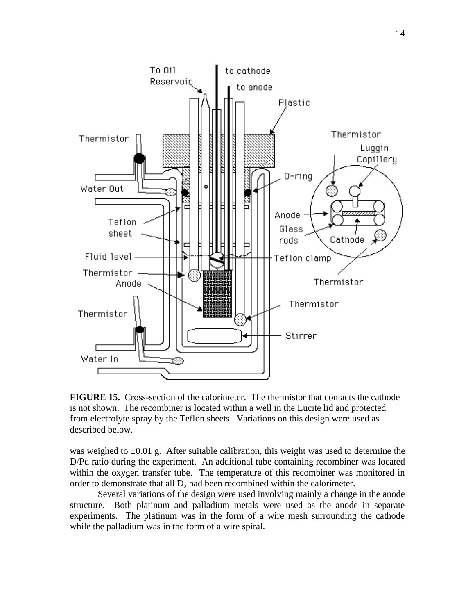

**FIGURE 15.** Cross-section of the calorimeter. The thermistor that contacts the cathode is not shown. The recombiner is located within a well in the Lucite lid and protected from electrolyte spray by the Teflon sheets. Variations on this design were used as described below.

was weighed to  $\pm 0.01$  g. After suitable calibration, this weight was used to determine the D/Pd ratio during the experiment. An additional tube containing recombiner was located within the oxygen transfer tube. The temperature of this recombiner was monitored in order to demonstrate that all  $D_2$  had been recombined within the calorimeter.

Several variations of the design were used involving mainly a change in the anode structure. Both platinum and palladium metals were used as the anode in separate experiments. The platinum was in the form of a wire mesh surrounding the cathode while the palladium was in the form of a wire spiral.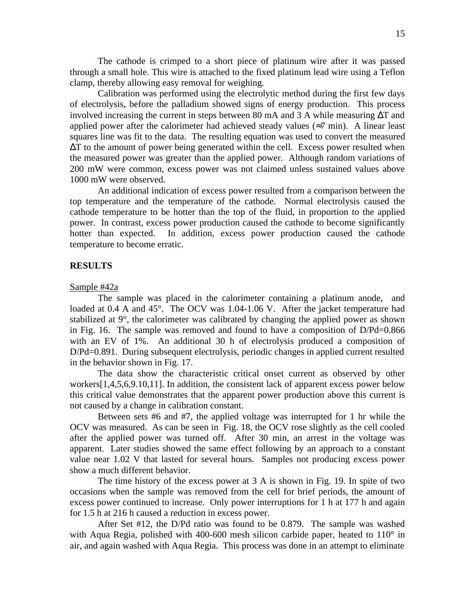The cathode is crimped to a short piece of platinum wire after it was passed through a small hole. This wire is attached to the fixed platinum lead wire using a Teflon clamp, thereby allowing easy removal for weighing.

Calibration was performed using the electrolytic method during the first few days of electrolysis, before the palladium showed signs of energy production. This process involved increasing the current in steps between 80 mA and 3 A while measuring T and applied power after the calorimeter had achieved steady values ( 7 min). A linear least squares line was fit to the data. The resulting equation was used to convert the measured

T to the amount of power being generated within the cell. Excess power resulted when the measured power was greater than the applied power. Although random variations of 200 mW were common, excess power was not claimed unless sustained values above 1000 mW were observed.

An additional indication of excess power resulted from a comparison between the top temperature and the temperature of the cathode. Normal electrolysis caused the cathode temperature to be hotter than the top of the fluid, in proportion to the applied power. In contrast, excess power production caused the cathode to become significantly hotter than expected. In addition, excess power production caused the cathode temperature to become erratic.

#### **RESULTS**

#### Sample #42a

The sample was placed in the calorimeter containing a platinum anode, and loaded at 0.4 A and 45°. The OCV was 1.04-1.06 V. After the jacket temperature had stabilized at 9°, the calorimeter was calibrated by changing the applied power as shown in Fig. 16. The sample was removed and found to have a composition of D/Pd=0.866 with an EV of 1%. An additional 30 h of electrolysis produced a composition of D/Pd=0.891. During subsequent electrolysis, periodic changes in applied current resulted in the behavior shown in Fig. 17.

The data show the characteristic critical onset current as observed by other workers[1,4,5,6,9.10,11]. In addition, the consistent lack of apparent excess power below this critical value demonstrates that the apparent power production above this current is not caused by a change in calibration constant.

Between sets #6 and #7, the applied voltage was interrupted for 1 hr while the OCV was measured. As can be seen in Fig. 18, the OCV rose slightly as the cell cooled after the applied power was turned off. After 30 min, an arrest in the voltage was apparent. Later studies showed the same effect following by an approach to a constant value near 1.02 V that lasted for several hours. Samples not producing excess power show a much different behavior.

The time history of the excess power at 3 A is shown in Fig. 19. In spite of two occasions when the sample was removed from the cell for brief periods, the amount of excess power continued to increase. Only power interruptions for 1 h at 177 h and again for 1.5 h at 216 h caused a reduction in excess power.

After Set #12, the D/Pd ratio was found to be 0.879. The sample was washed with Aqua Regia, polished with 400-600 mesh silicon carbide paper, heated to 110<sup>°</sup> in air, and again washed with Aqua Regia. This process was done in an attempt to eliminate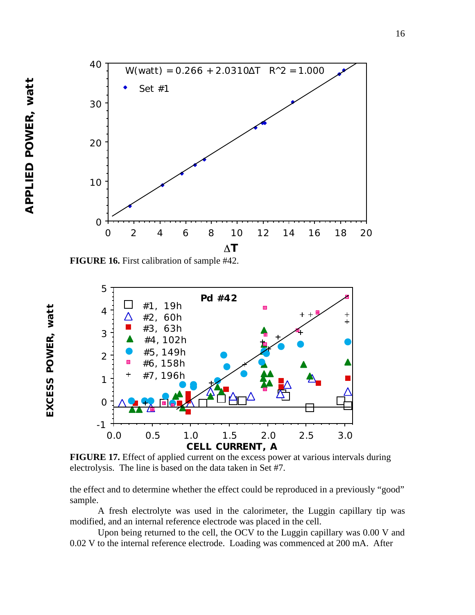**EXCESS POWER, watt**

EXCESS POWER, watt



**FIGURE 16.** First calibration of sample #42.



**FIGURE 17.** Effect of applied current on the excess power at various intervals during electrolysis. The line is based on the data taken in Set #7.

the effect and to determine whether the effect could be reproduced in a previously "good" sample.

A fresh electrolyte was used in the calorimeter, the Luggin capillary tip was modified, and an internal reference electrode was placed in the cell.

Upon being returned to the cell, the OCV to the Luggin capillary was 0.00 V and 0.02 V to the internal reference electrode. Loading was commenced at 200 mA. After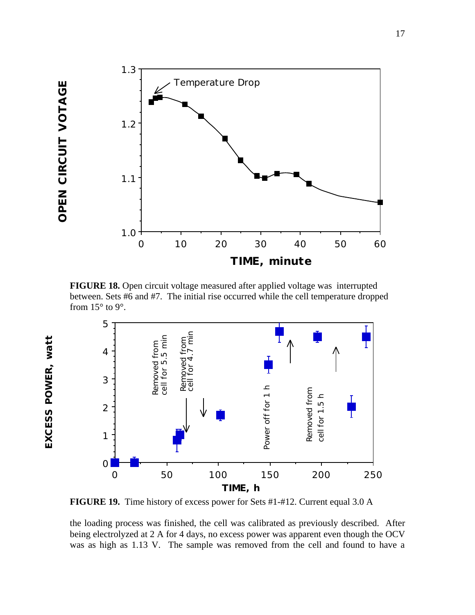OPEN CIRCUIT VOTAGE **OPEN CIRCUIT VOTAGE**

**EXCESS POWER, watt**

EXCESS POWER, watt



**FIGURE 18.** Open circuit voltage measured after applied voltage was interrupted between. Sets #6 and #7. The initial rise occurred while the cell temperature dropped from  $15^{\circ}$  to 9°.



**FIGURE 19.** Time history of excess power for Sets #1-#12. Current equal 3.0 A

the loading process was finished, the cell was calibrated as previously described. After being electrolyzed at 2 A for 4 days, no excess power was apparent even though the OCV was as high as 1.13 V. The sample was removed from the cell and found to have a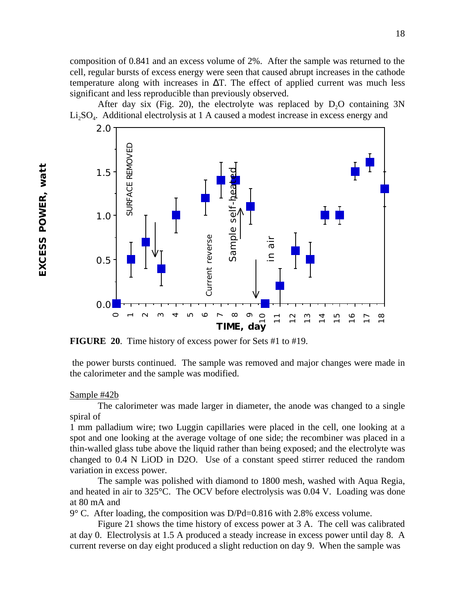composition of 0.841 and an excess volume of 2%. After the sample was returned to the cell, regular bursts of excess energy were seen that caused abrupt increases in the cathode temperature along with increases in T. The effect of applied current was much less significant and less reproducible than previously observed.

After day six (Fig. 20), the electrolyte was replaced by  $D_2O$  containing  $3N$  $Li<sub>2</sub>SO<sub>4</sub>$ . Additional electrolysis at 1 A caused a modest increase in excess energy and



**FIGURE 20**. Time history of excess power for Sets #1 to #19.

the power bursts continued. The sample was removed and major changes were made in the calorimeter and the sample was modified.

#### Sample #42b

The calorimeter was made larger in diameter, the anode was changed to a single spiral of

1 mm palladium wire; two Luggin capillaries were placed in the cell, one looking at a spot and one looking at the average voltage of one side; the recombiner was placed in a thin-walled glass tube above the liquid rather than being exposed; and the electrolyte was changed to 0.4 N LiOD in D2O. Use of a constant speed stirrer reduced the random variation in excess power. **EXECURE 20.** Time history of excess power for Sets #1 to #19.<br> **EFIGURE 20.** Time history of excess power for Sets #1 to #19.<br>
the power bursts continued. The sample was removed and major changes were made it<br>
the calori

The sample was polished with diamond to 1800 mesh, washed with Aqua Regia, and heated in air to 325°C. The OCV before electrolysis was 0.04 V. Loading was done at 80 mA and

 $9^{\circ}$  C. After loading, the composition was D/Pd=0.816 with 2.8% excess volume.

Figure 21 shows the time history of excess power at 3 A. The cell was calibrated at day 0. Electrolysis at 1.5 A produced a steady increase in excess power until day 8. A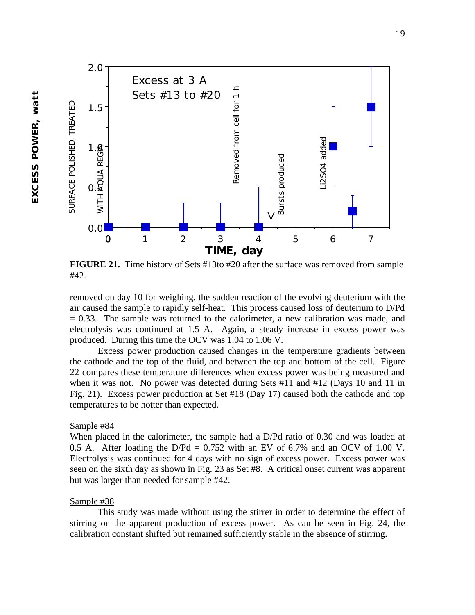

**FIGURE 21.** Time history of Sets #13to #20 after the surface was removed from sample #42.

removed on day 10 for weighing, the sudden reaction of the evolving deuterium with the air caused the sample to rapidly self-heat. This process caused loss of deuterium to D/Pd  $= 0.33$ . The sample was returned to the calorimeter, a new calibration was made, and electrolysis was continued at 1.5 A. Again, a steady increase in excess power was produced. During this time the OCV was 1.04 to 1.06 V.

Excess power production caused changes in the temperature gradients between the cathode and the top of the fluid, and between the top and bottom of the cell. Figure 22 compares these temperature differences when excess power was being measured and when it was not. No power was detected during Sets #11 and #12 (Days 10 and 11 in Fig. 21). Excess power production at Set #18 (Day 17) caused both the cathode and top temperatures to be hotter than expected.

#### Sample #84

When placed in the calorimeter, the sample had a D/Pd ratio of 0.30 and was loaded at 0.5 A. After loading the  $D/Pd = 0.752$  with an EV of 6.7% and an OCV of 1.00 V. Electrolysis was continued for 4 days with no sign of excess power. Excess power was seen on the sixth day as shown in Fig. 23 as Set #8. A critical onset current was apparent but was larger than needed for sample #42.

### Sample #38

This study was made without using the stirrer in order to determine the effect of stirring on the apparent production of excess power. As can be seen in Fig. 24, the calibration constant shifted but remained sufficiently stable in the absence of stirring.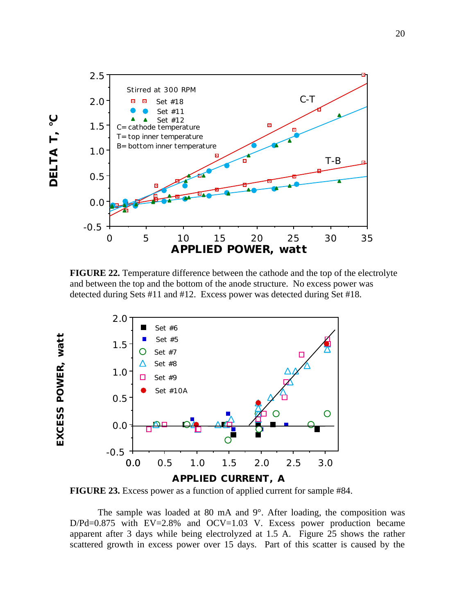

**FIGURE 22.** Temperature difference between the cathode and the top of the electrolyte and between the top and the bottom of the anode structure. No excess power was detected during Sets #11 and #12. Excess power was detected during Set #18.



**FIGURE 23.** Excess power as a function of applied current for sample #84.

The sample was loaded at 80 mA and 9°. After loading, the composition was D/Pd=0.875 with EV=2.8% and OCV=1.03 V. Excess power production became apparent after 3 days while being electrolyzed at 1.5 A. Figure 25 shows the rather scattered growth in excess power over 15 days. Part of this scatter is caused by the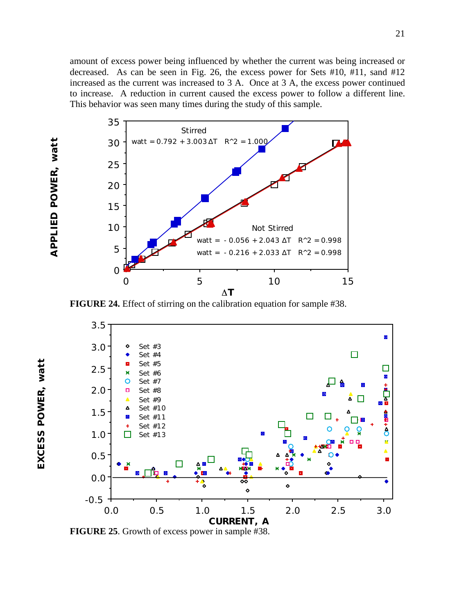

**EXCESS POWER, watt**

EXCESS POWER, watt



**FIGURE 24.** Effect of stirring on the calibration equation for sample #38.



**FIGURE 25**. Growth of excess power in sample #38.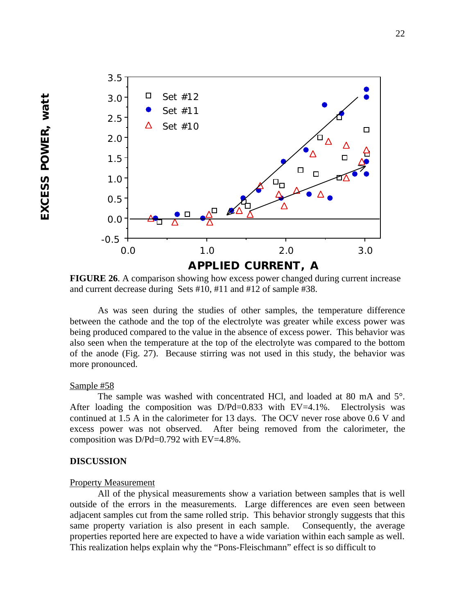

**FIGURE 26**. A comparison showing how excess power changed during current increase and current decrease during Sets #10, #11 and #12 of sample #38.

As was seen during the studies of other samples, the temperature difference between the cathode and the top of the electrolyte was greater while excess power was being produced compared to the value in the absence of excess power. This behavior was also seen when the temperature at the top of the electrolyte was compared to the bottom of the anode (Fig. 27). Because stirring was not used in this study, the behavior was more pronounced.

### Sample #58

The sample was washed with concentrated HCl, and loaded at 80 mA and 5°. After loading the composition was D/Pd=0.833 with EV=4.1%. Electrolysis was continued at 1.5 A in the calorimeter for 13 days. The OCV never rose above 0.6 V and excess power was not observed. After being removed from the calorimeter, the composition was D/Pd=0.792 with EV=4.8%.

## **DISCUSSION**

#### Property Measurement

All of the physical measurements show a variation between samples that is well outside of the errors in the measurements. Large differences are even seen between adjacent samples cut from the same rolled strip. This behavior strongly suggests that this same property variation is also present in each sample. Consequently, the average properties reported here are expected to have a wide variation within each sample as well. This realization helps explain why the "Pons-Fleischmann" effect is so difficult to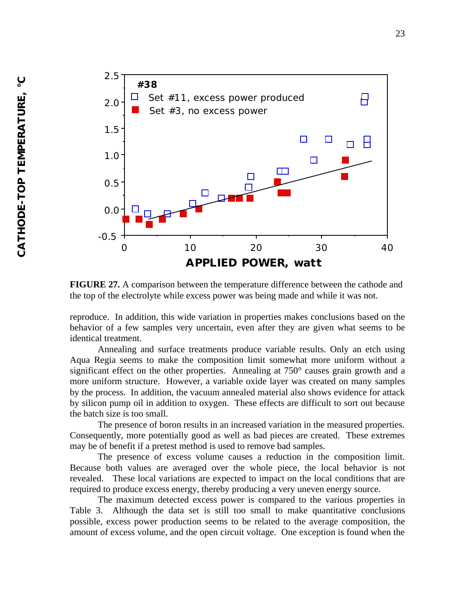

**FIGURE 27.** A comparison between the temperature difference between the cathode and the top of the electrolyte while excess power was being made and while it was not.

reproduce. In addition, this wide variation in properties makes conclusions based on the behavior of a few samples very uncertain, even after they are given what seems to be identical treatment.

Annealing and surface treatments produce variable results. Only an etch using Aqua Regia seems to make the composition limit somewhat more uniform without a significant effect on the other properties. Annealing at 750° causes grain growth and a more uniform structure. However, a variable oxide layer was created on many samples by the process. In addition, the vacuum annealed material also shows evidence for attack by silicon pump oil in addition to oxygen. These effects are difficult to sort out because the batch size is too small.

The presence of boron results in an increased variation in the measured properties. Consequently, more potentially good as well as bad pieces are created. These extremes may be of benefit if a pretest method is used to remove bad samples.

The presence of excess volume causes a reduction in the composition limit. Because both values are averaged over the whole piece, the local behavior is not revealed. These local variations are expected to impact on the local conditions that are required to produce excess energy, thereby producing a very uneven energy source.

The maximum detected excess power is compared to the various properties in Table 3. Although the data set is still too small to make quantitative conclusions possible, excess power production seems to be related to the average composition, the amount of excess volume, and the open circuit voltage. One exception is found when the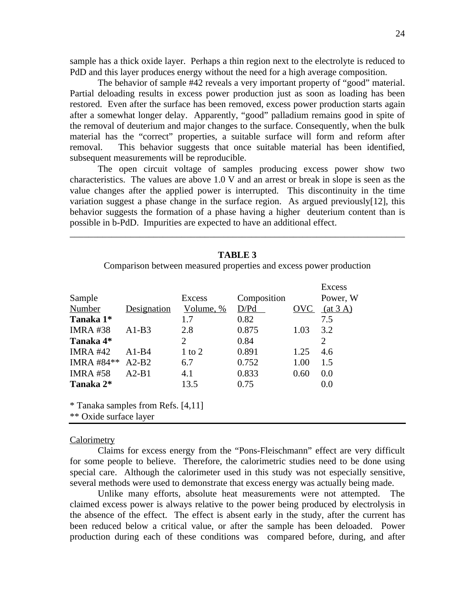sample has a thick oxide layer. Perhaps a thin region next to the electrolyte is reduced to PdD and this layer produces energy without the need for a high average composition.

The behavior of sample #42 reveals a very important property of "good" material. Partial deloading results in excess power production just as soon as loading has been restored. Even after the surface has been removed, excess power production starts again after a somewhat longer delay. Apparently, "good" palladium remains good in spite of the removal of deuterium and major changes to the surface. Consequently, when the bulk material has the "correct" properties, a suitable surface will form and reform after removal. This behavior suggests that once suitable material has been identified, subsequent measurements will be reproducible.

The open circuit voltage of samples producing excess power show two characteristics. The values are above 1.0 V and an arrest or break in slope is seen as the value changes after the applied power is interrupted. This discontinuity in the time variation suggest a phase change in the surface region. As argued previously[12], this behavior suggests the formation of a phase having a higher deuterium content than is possible in b-PdD. Impurities are expected to have an additional effect.

\_\_\_\_\_\_\_\_\_\_\_\_\_\_\_\_\_\_\_\_\_\_\_\_\_\_\_\_\_\_\_\_\_\_\_\_\_\_\_\_\_\_\_\_\_\_\_\_\_\_\_\_\_\_\_\_\_\_\_\_\_\_\_\_\_\_\_\_\_\_\_\_

|                 | <b>TABLE 3</b>                     |           |                                                                    |      |                |  |  |  |
|-----------------|------------------------------------|-----------|--------------------------------------------------------------------|------|----------------|--|--|--|
|                 |                                    |           | Comparison between measured properties and excess power production |      |                |  |  |  |
|                 |                                    |           |                                                                    |      | <b>Excess</b>  |  |  |  |
| Sample          |                                    | Excess    | Composition                                                        |      | Power, W       |  |  |  |
| Number          | <b>Designation</b>                 | Volume, % | D/Pd                                                               | OVC  | (at 3 A)       |  |  |  |
| Tanaka 1*       |                                    | 1.7       | 0.82                                                               |      | 7.5            |  |  |  |
| <b>IMRA#38</b>  | $A1-B3$                            | 2.8       | 0.875                                                              | 1.03 | 3.2            |  |  |  |
| Tanaka 4*       |                                    | 2         | 0.84                                                               |      | $\overline{2}$ |  |  |  |
| <b>IMRA #42</b> | $A1-B4$                            | 1 to 2    | 0.891                                                              | 1.25 | 4.6            |  |  |  |
| IMRA #84**      | $A2-B2$                            | 6.7       | 0.752                                                              | 1.00 | 1.5            |  |  |  |
| <b>IMRA #58</b> | $A2-B1$                            | 4.1       | 0.833                                                              | 0.60 | 0.0            |  |  |  |
| Tanaka 2*       |                                    | 13.5      | 0.75                                                               |      | 0.0            |  |  |  |
|                 | * Tanaka samples from Refs. [4,11] |           |                                                                    |      |                |  |  |  |

\*\* Oxide surface layer

#### **Calorimetry**

Claims for excess energy from the "Pons-Fleischmann" effect are very difficult for some people to believe. Therefore, the calorimetric studies need to be done using special care. Although the calorimeter used in this study was not especially sensitive, several methods were used to demonstrate that excess energy was actually being made.

Unlike many efforts, absolute heat measurements were not attempted. The claimed excess power is always relative to the power being produced by electrolysis in the absence of the effect. The effect is absent early in the study, after the current has been reduced below a critical value, or after the sample has been deloaded. Power production during each of these conditions was compared before, during, and after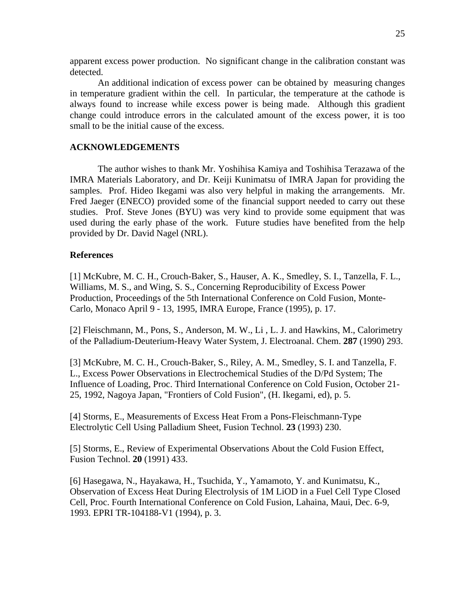apparent excess power production. No significant change in the calibration constant was detected.

An additional indication of excess power can be obtained by measuring changes in temperature gradient within the cell. In particular, the temperature at the cathode is always found to increase while excess power is being made. Although this gradient change could introduce errors in the calculated amount of the excess power, it is too small to be the initial cause of the excess.

### **ACKNOWLEDGEMENTS**

The author wishes to thank Mr. Yoshihisa Kamiya and Toshihisa Terazawa of the IMRA Materials Laboratory, and Dr. Keiji Kunimatsu of IMRA Japan for providing the samples. Prof. Hideo Ikegami was also very helpful in making the arrangements. Mr. Fred Jaeger (ENECO) provided some of the financial support needed to carry out these studies. Prof. Steve Jones (BYU) was very kind to provide some equipment that was used during the early phase of the work. Future studies have benefited from the help provided by Dr. David Nagel (NRL).

### **References**

[1] McKubre, M. C. H., Crouch-Baker, S., Hauser, A. K., Smedley, S. I., Tanzella, F. L., Williams, M. S., and Wing, S. S., Concerning Reproducibility of Excess Power Production, Proceedings of the 5th International Conference on Cold Fusion, Monte-Carlo, Monaco April 9 - 13, 1995, IMRA Europe, France (1995), p. 17.

[2] Fleischmann, M., Pons, S., Anderson, M. W., Li, L. J. and Hawkins, M., Calorimetry of the Palladium-Deuterium-Heavy Water System, J. Electroanal. Chem. **287** (1990) 293.

[3] McKubre, M. C. H., Crouch-Baker, S., Riley, A. M., Smedley, S. I. and Tanzella, F. L., Excess Power Observations in Electrochemical Studies of the D/Pd System; The Influence of Loading, Proc. Third International Conference on Cold Fusion, October 21- 25, 1992, Nagoya Japan, "Frontiers of Cold Fusion", (H. Ikegami, ed), p. 5.

[4] Storms, E., Measurements of Excess Heat From a Pons-Fleischmann-Type Electrolytic Cell Using Palladium Sheet, Fusion Technol. **23** (1993) 230.

[5] Storms, E., Review of Experimental Observations About the Cold Fusion Effect, Fusion Technol. **20** (1991) 433.

[6] Hasegawa, N., Hayakawa, H., Tsuchida, Y., Yamamoto, Y. and Kunimatsu, K., Observation of Excess Heat During Electrolysis of 1M LiOD in a Fuel Cell Type Closed Cell, Proc. Fourth International Conference on Cold Fusion, Lahaina, Maui, Dec. 6-9, 1993. EPRI TR-104188-V1 (1994), p. 3.